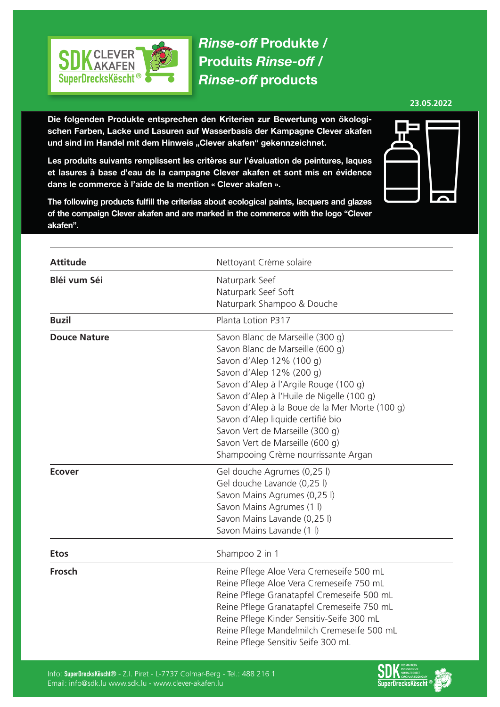

*Rinse-off* **Produkte / Produits** *Rinse-off* **/**  *Rinse-off* **products**

**23.05.2022**

**Die folgenden Produkte entsprechen den Kriterien zur Bewertung von ökologischen Farben, Lacke und Lasuren auf Wasserbasis der Kampagne Clever akafen**  und sind im Handel mit dem Hinweis "Clever akafen" gekennzeichnet.

**Les produits suivants remplissent les critères sur l'évaluation de peintures, laques et lasures à base d'eau de la campagne Clever akafen et sont mis en évidence dans le commerce à l'aide de la mention « Clever akafen ».**

**The following products fulfill the criterias about ecological paints, lacquers and glazes of the compaign Clever akafen and are marked in the commerce with the logo "Clever akafen".**



| <b>Attitude</b>     | Nettoyant Crème solaire                        |
|---------------------|------------------------------------------------|
| Bléi vum Séi        | Naturpark Seef                                 |
|                     | Naturpark Seef Soft                            |
|                     | Naturpark Shampoo & Douche                     |
| <b>Buzil</b>        | Planta Lotion P317                             |
| <b>Douce Nature</b> | Savon Blanc de Marseille (300 g)               |
|                     | Savon Blanc de Marseille (600 g)               |
|                     | Savon d'Alep 12% (100 g)                       |
|                     | Savon d'Alep 12% (200 g)                       |
|                     | Savon d'Alep à l'Argile Rouge (100 g)          |
|                     | Savon d'Alep à l'Huile de Nigelle (100 g)      |
|                     | Savon d'Alep à la Boue de la Mer Morte (100 g) |
|                     | Savon d'Alep liquide certifié bio              |
|                     | Savon Vert de Marseille (300 g)                |
|                     | Savon Vert de Marseille (600 g)                |
|                     | Shampooing Crème nourrissante Argan            |
| <b>Ecover</b>       | Gel douche Agrumes (0,25 l)                    |
|                     | Gel douche Lavande (0,25 l)                    |
|                     | Savon Mains Agrumes (0,25 l)                   |
|                     | Savon Mains Agrumes (1 l)                      |
|                     | Savon Mains Lavande (0,25 l)                   |
|                     | Savon Mains Lavande (1 l)                      |
| <b>Etos</b>         | Shampoo 2 in 1                                 |
| <b>Frosch</b>       | Reine Pflege Aloe Vera Cremeseife 500 mL       |
|                     | Reine Pflege Aloe Vera Cremeseife 750 mL       |
|                     | Reine Pflege Granatapfel Cremeseife 500 mL     |
|                     | Reine Pflege Granatapfel Cremeseife 750 mL     |
|                     | Reine Pflege Kinder Sensitiv-Seife 300 mL      |
|                     | Reine Pflege Mandelmilch Cremeseife 500 mL     |
|                     | Reine Pflege Sensitiv Seife 300 mL             |

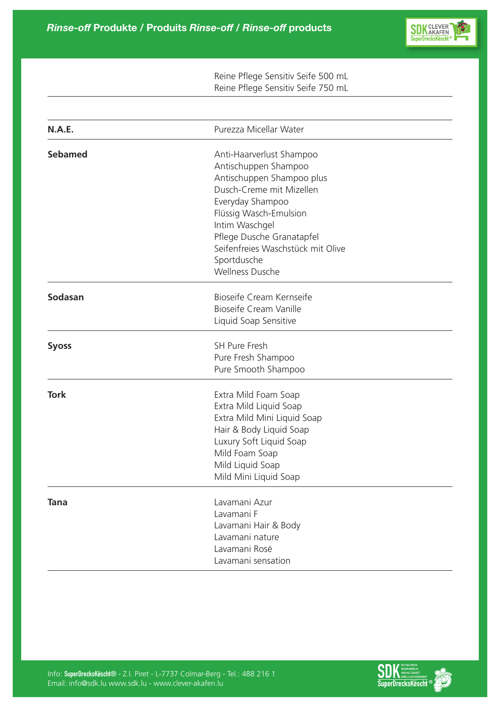

|                | Reine Pflege Sensitiv Seife 500 mL<br>Reine Pflege Sensitiv Seife 750 mL                                                                                                                                                                                                             |  |
|----------------|--------------------------------------------------------------------------------------------------------------------------------------------------------------------------------------------------------------------------------------------------------------------------------------|--|
|                |                                                                                                                                                                                                                                                                                      |  |
| N.A.E.         | Purezza Micellar Water                                                                                                                                                                                                                                                               |  |
| <b>Sebamed</b> | Anti-Haarverlust Shampoo<br>Antischuppen Shampoo<br>Antischuppen Shampoo plus<br>Dusch-Creme mit Mizellen<br>Everyday Shampoo<br>Flüssig Wasch-Emulsion<br>Intim Waschgel<br>Pflege Dusche Granatapfel<br>Seifenfreies Waschstück mit Olive<br>Sportdusche<br><b>Wellness Dusche</b> |  |
| Sodasan        | Bioseife Cream Kernseife<br>Bioseife Cream Vanille<br>Liquid Soap Sensitive                                                                                                                                                                                                          |  |
| <b>Syoss</b>   | <b>SH Pure Fresh</b><br>Pure Fresh Shampoo<br>Pure Smooth Shampoo                                                                                                                                                                                                                    |  |
| <b>Tork</b>    | Extra Mild Foam Soap<br>Extra Mild Liquid Soap<br>Extra Mild Mini Liquid Soap<br>Hair & Body Liquid Soap<br>Luxury Soft Liquid Soap<br>Mild Foam Soap<br>Mild Liquid Soap<br>Mild Mini Liquid Soap                                                                                   |  |
| <b>Tana</b>    | Lavamani Azur<br>Lavamani F<br>Lavamani Hair & Body<br>Lavamani nature<br>Lavamani Rosé<br>Lavamani sensation                                                                                                                                                                        |  |